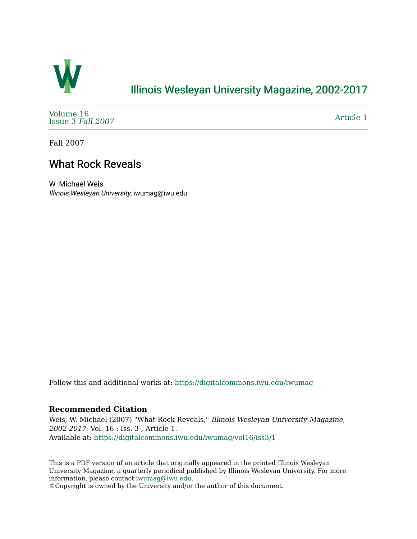

## [Illinois Wesleyan University Magazine, 2002-2017](https://digitalcommons.iwu.edu/iwumag)

[Volume 16](https://digitalcommons.iwu.edu/iwumag/vol16)  [Issue 3](https://digitalcommons.iwu.edu/iwumag/vol16/iss3) Fall 2007

[Article 1](https://digitalcommons.iwu.edu/iwumag/vol16/iss3/1) 

Fall 2007

## What Rock Reveals

W. Michael Weis Illinois Wesleyan University, iwumag@iwu.edu

Follow this and additional works at: [https://digitalcommons.iwu.edu/iwumag](https://digitalcommons.iwu.edu/iwumag?utm_source=digitalcommons.iwu.edu%2Fiwumag%2Fvol16%2Fiss3%2F1&utm_medium=PDF&utm_campaign=PDFCoverPages) 

## **Recommended Citation**

Weis, W. Michael (2007) "What Rock Reveals," Illinois Wesleyan University Magazine, 2002-2017: Vol. 16 : Iss. 3 , Article 1. Available at: [https://digitalcommons.iwu.edu/iwumag/vol16/iss3/1](https://digitalcommons.iwu.edu/iwumag/vol16/iss3/1?utm_source=digitalcommons.iwu.edu%2Fiwumag%2Fvol16%2Fiss3%2F1&utm_medium=PDF&utm_campaign=PDFCoverPages)

This is a PDF version of an article that originally appeared in the printed Illinois Wesleyan University Magazine, a quarterly periodical published by Illinois Wesleyan University. For more information, please contact [iwumag@iwu.edu](mailto:iwumag@iwu.edu).

©Copyright is owned by the University and/or the author of this document.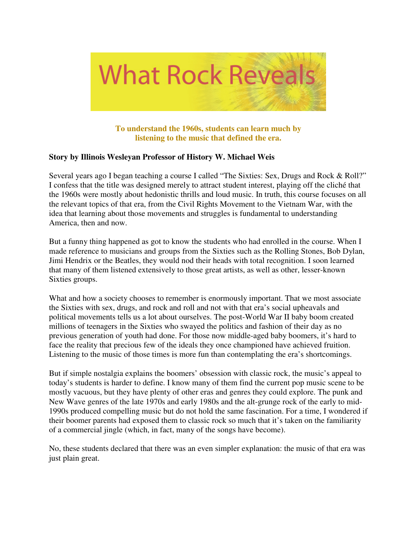

**To understand the 1960s, students can learn much by listening to the music that defined the era.** 

## **Story by Illinois Wesleyan Professor of History W. Michael Weis**

Several years ago I began teaching a course I called "The Sixties: Sex, Drugs and Rock & Roll?" I confess that the title was designed merely to attract student interest, playing off the cliché that the 1960s were mostly about hedonistic thrills and loud music. In truth, this course focuses on all the relevant topics of that era, from the Civil Rights Movement to the Vietnam War, with the idea that learning about those movements and struggles is fundamental to understanding America, then and now.

But a funny thing happened as got to know the students who had enrolled in the course. When I made reference to musicians and groups from the Sixties such as the Rolling Stones, Bob Dylan, Jimi Hendrix or the Beatles, they would nod their heads with total recognition. I soon learned that many of them listened extensively to those great artists, as well as other, lesser-known Sixties groups.

What and how a society chooses to remember is enormously important. That we most associate the Sixties with sex, drugs, and rock and roll and not with that era's social upheavals and political movements tells us a lot about ourselves. The post-World War II baby boom created millions of teenagers in the Sixties who swayed the politics and fashion of their day as no previous generation of youth had done. For those now middle-aged baby boomers, it's hard to face the reality that precious few of the ideals they once championed have achieved fruition. Listening to the music of those times is more fun than contemplating the era's shortcomings.

But if simple nostalgia explains the boomers' obsession with classic rock, the music's appeal to today's students is harder to define. I know many of them find the current pop music scene to be mostly vacuous, but they have plenty of other eras and genres they could explore. The punk and New Wave genres of the late 1970s and early 1980s and the alt-grunge rock of the early to mid-1990s produced compelling music but do not hold the same fascination. For a time, I wondered if their boomer parents had exposed them to classic rock so much that it's taken on the familiarity of a commercial jingle (which, in fact, many of the songs have become).

No, these students declared that there was an even simpler explanation: the music of that era was just plain great.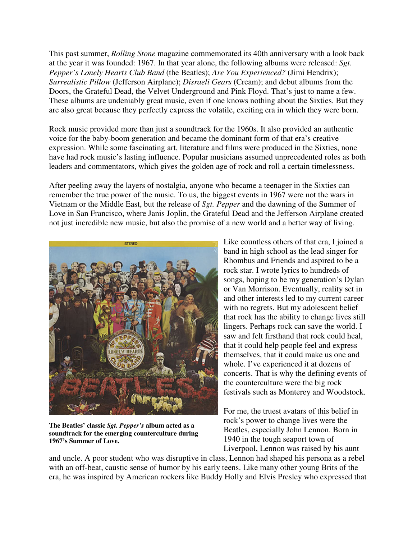This past summer, *Rolling Stone* magazine commemorated its 40th anniversary with a look back at the year it was founded: 1967. In that year alone, the following albums were released: *Sgt. Pepper's Lonely Hearts Club Band* (the Beatles); *Are You Experienced?* (Jimi Hendrix); *Surrealistic Pillow* (Jefferson Airplane); *Disraeli Gears* (Cream); and debut albums from the Doors, the Grateful Dead, the Velvet Underground and Pink Floyd. That's just to name a few. These albums are undeniably great music, even if one knows nothing about the Sixties. But they are also great because they perfectly express the volatile, exciting era in which they were born.

Rock music provided more than just a soundtrack for the 1960s. It also provided an authentic voice for the baby-boom generation and became the dominant form of that era's creative expression. While some fascinating art, literature and films were produced in the Sixties, none have had rock music's lasting influence. Popular musicians assumed unprecedented roles as both leaders and commentators, which gives the golden age of rock and roll a certain timelessness.

After peeling away the layers of nostalgia, anyone who became a teenager in the Sixties can remember the true power of the music. To us, the biggest events in 1967 were not the wars in Vietnam or the Middle East, but the release of *Sgt. Pepper* and the dawning of the Summer of Love in San Francisco, where Janis Joplin, the Grateful Dead and the Jefferson Airplane created not just incredible new music, but also the promise of a new world and a better way of living.



**The Beatles' classic** *Sgt. Pepper's* **album acted as a soundtrack for the emerging counterculture during 1967's Summer of Love.**

Like countless others of that era, I joined a band in high school as the lead singer for Rhombus and Friends and aspired to be a rock star. I wrote lyrics to hundreds of songs, hoping to be my generation's Dylan or Van Morrison. Eventually, reality set in and other interests led to my current career with no regrets. But my adolescent belief that rock has the ability to change lives still lingers. Perhaps rock can save the world. I saw and felt firsthand that rock could heal, that it could help people feel and express themselves, that it could make us one and whole. I've experienced it at dozens of concerts. That is why the defining events of the counterculture were the big rock festivals such as Monterey and Woodstock.

For me, the truest avatars of this belief in rock's power to change lives were the Beatles, especially John Lennon. Born in 1940 in the tough seaport town of Liverpool, Lennon was raised by his aunt

and uncle. A poor student who was disruptive in class, Lennon had shaped his persona as a rebel with an off-beat, caustic sense of humor by his early teens. Like many other young Brits of the era, he was inspired by American rockers like Buddy Holly and Elvis Presley who expressed that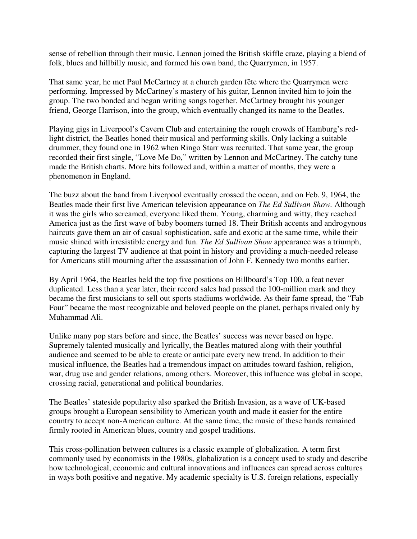sense of rebellion through their music. Lennon joined the British skiffle craze, playing a blend of folk, blues and hillbilly music, and formed his own band, the Quarrymen, in 1957.

That same year, he met Paul McCartney at a church garden fête where the Quarrymen were performing. Impressed by McCartney's mastery of his guitar, Lennon invited him to join the group. The two bonded and began writing songs together. McCartney brought his younger friend, George Harrison, into the group, which eventually changed its name to the Beatles.

Playing gigs in Liverpool's Cavern Club and entertaining the rough crowds of Hamburg's redlight district, the Beatles honed their musical and performing skills. Only lacking a suitable drummer, they found one in 1962 when Ringo Starr was recruited. That same year, the group recorded their first single, "Love Me Do," written by Lennon and McCartney. The catchy tune made the British charts. More hits followed and, within a matter of months, they were a phenomenon in England.

The buzz about the band from Liverpool eventually crossed the ocean, and on Feb. 9, 1964, the Beatles made their first live American television appearance on *The Ed Sullivan Show.* Although it was the girls who screamed, everyone liked them. Young, charming and witty, they reached America just as the first wave of baby boomers turned 18. Their British accents and androgynous haircuts gave them an air of casual sophistication, safe and exotic at the same time, while their music shined with irresistible energy and fun. *The Ed Sullivan Show* appearance was a triumph, capturing the largest TV audience at that point in history and providing a much-needed release for Americans still mourning after the assassination of John F. Kennedy two months earlier.

By April 1964, the Beatles held the top five positions on Billboard's Top 100, a feat never duplicated. Less than a year later, their record sales had passed the 100-million mark and they became the first musicians to sell out sports stadiums worldwide. As their fame spread, the "Fab Four" became the most recognizable and beloved people on the planet, perhaps rivaled only by Muhammad Ali.

Unlike many pop stars before and since, the Beatles' success was never based on hype. Supremely talented musically and lyrically, the Beatles matured along with their youthful audience and seemed to be able to create or anticipate every new trend. In addition to their musical influence, the Beatles had a tremendous impact on attitudes toward fashion, religion, war, drug use and gender relations, among others. Moreover, this influence was global in scope, crossing racial, generational and political boundaries.

The Beatles' stateside popularity also sparked the British Invasion, as a wave of UK-based groups brought a European sensibility to American youth and made it easier for the entire country to accept non-American culture. At the same time, the music of these bands remained firmly rooted in American blues, country and gospel traditions.

This cross-pollination between cultures is a classic example of globalization. A term first commonly used by economists in the 1980s, globalization is a concept used to study and describe how technological, economic and cultural innovations and influences can spread across cultures in ways both positive and negative. My academic specialty is U.S. foreign relations, especially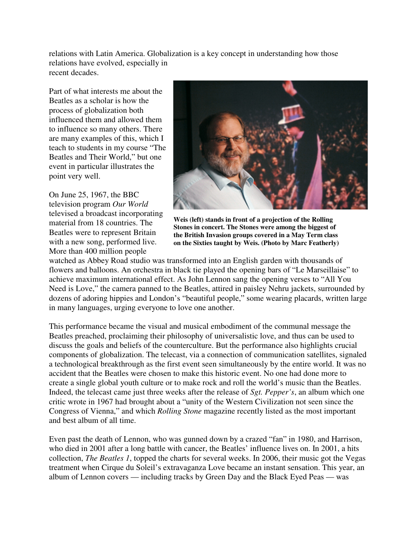relations with Latin America. Globalization is a key concept in understanding how those relations have evolved, especially in recent decades.

Part of what interests me about the Beatles as a scholar is how the process of globalization both influenced them and allowed them to influence so many others. There are many examples of this, which I teach to students in my course "The Beatles and Their World," but one event in particular illustrates the point very well.

On June 25, 1967, the BBC television program *Our World* televised a broadcast incorporating material from 18 countries. The Beatles were to represent Britain with a new song, performed live. More than 400 million people



**Weis (left) stands in front of a projection of the Rolling Stones in concert. The Stones were among the biggest of the British Invasion groups covered in a May Term class on the Sixties taught by Weis. (Photo by Marc Featherly)**

watched as Abbey Road studio was transformed into an English garden with thousands of flowers and balloons. An orchestra in black tie played the opening bars of "Le Marseillaise" to achieve maximum international effect. As John Lennon sang the opening verses to "All You Need is Love," the camera panned to the Beatles, attired in paisley Nehru jackets, surrounded by dozens of adoring hippies and London's "beautiful people," some wearing placards, written large in many languages, urging everyone to love one another.

This performance became the visual and musical embodiment of the communal message the Beatles preached, proclaiming their philosophy of universalistic love, and thus can be used to discuss the goals and beliefs of the counterculture. But the performance also highlights crucial components of globalization. The telecast, via a connection of communication satellites, signaled a technological breakthrough as the first event seen simultaneously by the entire world. It was no accident that the Beatles were chosen to make this historic event. No one had done more to create a single global youth culture or to make rock and roll the world's music than the Beatles. Indeed, the telecast came just three weeks after the release of *Sgt. Pepper's*, an album which one critic wrote in 1967 had brought about a "unity of the Western Civilization not seen since the Congress of Vienna," and which *Rolling Stone* magazine recently listed as the most important and best album of all time.

Even past the death of Lennon, who was gunned down by a crazed "fan" in 1980, and Harrison, who died in 2001 after a long battle with cancer, the Beatles' influence lives on. In 2001, a hits collection, *The Beatles 1*, topped the charts for several weeks. In 2006, their music got the Vegas treatment when Cirque du Soleil's extravaganza Love became an instant sensation. This year, an album of Lennon covers — including tracks by Green Day and the Black Eyed Peas — was